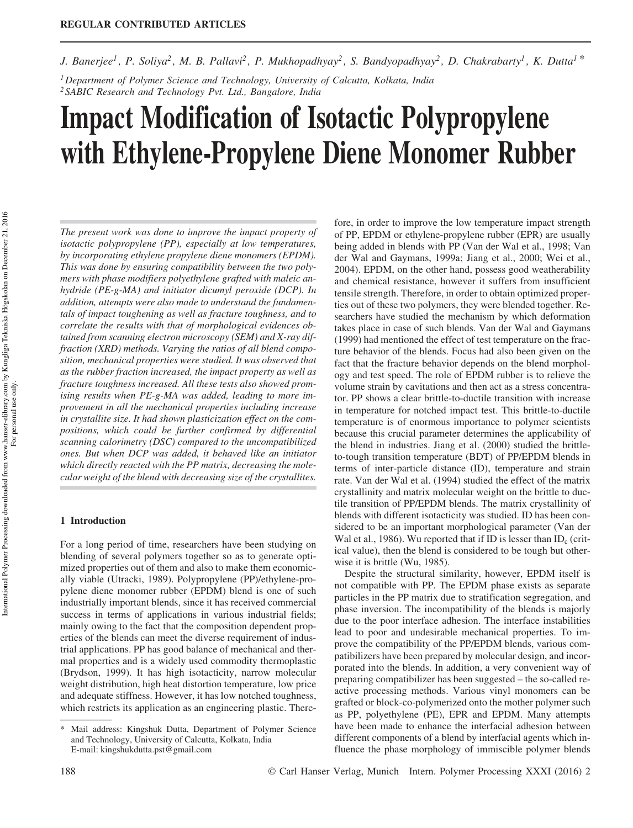*J. Banerjee<sup>1</sup>, P. Soliya<sup>2</sup>, M. B. Pallavi<sup>2</sup>, P. Mukhopadhyay<sup>2</sup>, S. Bandyopadhyay<sup>2</sup>, D. Chakrabarty<sup>1</sup>, K. Dutta<sup>1</sup><sup>\*</sup>* 

*<sup>1</sup>Department of Polymer Science and Technology, University of Calcutta, Kolkata, India <sup>2</sup> SABIC Research and Technology Pvt. Ltd., Bangalore, India*

# Impact Modification of Isotactic Polypropylene with Ethylene-Propylene Diene Monomer Rubber

*The present work was done to improve the impact property of isotactic polypropylene (PP), especially at low temperatures, by incorporating ethylene propylene diene monomers (EPDM). This was done by ensuring compatibility between the two polymers with phase modifiers polyethylene grafted with maleic anhydride (PE-g-MA) and initiator dicumyl peroxide (DCP). In addition, attempts were also made to understand the fundamentals of impact toughening as well as fracture toughness, and to correlate the results with that of morphological evidences obtained from scanning electron microscopy (SEM) and X-ray diffraction (XRD) methods. Varying the ratios of all blend composition, mechanical properties were studied. It was observed that as the rubber fraction increased, the impact property as well as fracture toughness increased. All these tests also showed promising results when PE-g-MA was added, leading to more improvement in all the mechanical properties including increase in crystallite size. It had shown plasticization effect on the compositions, which could be further confirmed by differential scanning calorimetry (DSC) compared to the uncompatibilized ones. But when DCP was added, it behaved like an initiator which directly reacted with the PP matrix, decreasing the molecular weight of the blend with decreasing size of the crystallites.*

## 1 Introduction

For a long period of time, researchers have been studying on blending of several polymers together so as to generate optimized properties out of them and also to make them economically viable (Utracki, 1989). Polypropylene (PP)/ethylene-propylene diene monomer rubber (EPDM) blend is one of such industrially important blends, since it has received commercial success in terms of applications in various industrial fields; mainly owing to the fact that the composition dependent properties of the blends can meet the diverse requirement of industrial applications. PP has good balance of mechanical and thermal properties and is a widely used commodity thermoplastic (Brydson, 1999). It has high isotacticity, narrow molecular weight distribution, high heat distortion temperature, low price and adequate stiffness. However, it has low notched toughness, which restricts its application as an engineering plastic. Therefore, in order to improve the low temperature impact strength of PP, EPDM or ethylene-propylene rubber (EPR) are usually being added in blends with PP (Van der Wal et al., 1998; Van der Wal and Gaymans, 1999a; Jiang et al., 2000; Wei et al., 2004). EPDM, on the other hand, possess good weatherability and chemical resistance, however it suffers from insufficient tensile strength. Therefore, in order to obtain optimized properties out of these two polymers, they were blended together. Researchers have studied the mechanism by which deformation takes place in case of such blends. Van der Wal and Gaymans (1999) had mentioned the effect of test temperature on the fracture behavior of the blends. Focus had also been given on the fact that the fracture behavior depends on the blend morphology and test speed. The role of EPDM rubber is to relieve the volume strain by cavitations and then act as a stress concentrator. PP shows a clear brittle-to-ductile transition with increase in temperature for notched impact test. This brittle-to-ductile temperature is of enormous importance to polymer scientists because this crucial parameter determines the applicability of the blend in industries. Jiang et al. (2000) studied the brittleto-tough transition temperature (BDT) of PP/EPDM blends in terms of inter-particle distance (ID), temperature and strain rate. Van der Wal et al. (1994) studied the effect of the matrix crystallinity and matrix molecular weight on the brittle to ductile transition of PP/EPDM blends. The matrix crystallinity of blends with different isotacticity was studied. ID has been considered to be an important morphological parameter (Van der Wal et al., 1986). Wu reported that if ID is lesser than  $ID_c$  (critical value), then the blend is considered to be tough but otherwise it is brittle (Wu, 1985).

Despite the structural similarity, however, EPDM itself is not compatible with PP. The EPDM phase exists as separate particles in the PP matrix due to stratification segregation, and phase inversion. The incompatibility of the blends is majorly due to the poor interface adhesion. The interface instabilities lead to poor and undesirable mechanical properties. To improve the compatibility of the PP/EPDM blends, various compatibilizers have been prepared by molecular design, and incorporated into the blends. In addition, a very convenient way of preparing compatibilizer has been suggested – the so-called reactive processing methods. Various vinyl monomers can be grafted or block-co-polymerized onto the mother polymer such as PP, polyethylene (PE), EPR and EPDM. Many attempts have been made to enhance the interfacial adhesion between different components of a blend by interfacial agents which influence the phase morphology of immiscible polymer blends

Mail address: Kingshuk Dutta, Department of Polymer Science and Technology, University of Calcutta, Kolkata, India E-mail: kingshukdutta.pst@gmail.com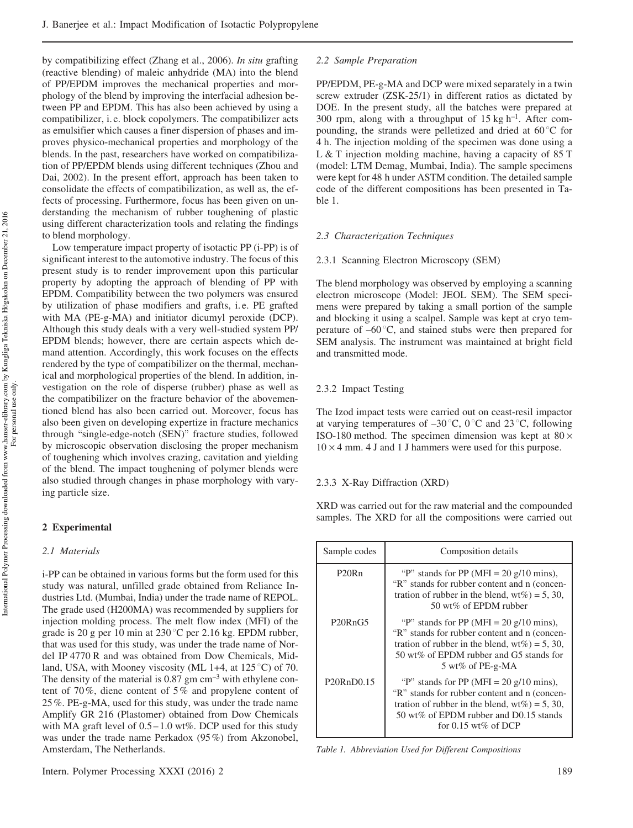by compatibilizing effect (Zhang et al., 2006). *In situ* grafting (reactive blending) of maleic anhydride (MA) into the blend of PP/EPDM improves the mechanical properties and morphology of the blend by improving the interfacial adhesion between PP and EPDM. This has also been achieved by using a compatibilizer, i. e. block copolymers. The compatibilizer acts as emulsifier which causes a finer dispersion of phases and improves physico-mechanical properties and morphology of the blends. In the past, researchers have worked on compatibilization of PP/EPDM blends using different techniques (Zhou and Dai, 2002). In the present effort, approach has been taken to consolidate the effects of compatibilization, as well as, the effects of processing. Furthermore, focus has been given on understanding the mechanism of rubber toughening of plastic using different characterization tools and relating the findings to blend morphology.

Low temperature impact property of isotactic PP (i-PP) is of significant interest to the automotive industry. The focus of this present study is to render improvement upon this particular property by adopting the approach of blending of PP with EPDM. Compatibility between the two polymers was ensured by utilization of phase modifiers and grafts, i. e. PE grafted with MA (PE-g-MA) and initiator dicumyl peroxide (DCP). Although this study deals with a very well-studied system PP/ EPDM blends; however, there are certain aspects which demand attention. Accordingly, this work focuses on the effects rendered by the type of compatibilizer on the thermal, mechanical and morphological properties of the blend. In addition, investigation on the role of disperse (rubber) phase as well as the compatibilizer on the fracture behavior of the abovementioned blend has also been carried out. Moreover, focus has also been given on developing expertize in fracture mechanics through "single-edge-notch (SEN)" fracture studies, followed by microscopic observation disclosing the proper mechanism of toughening which involves crazing, cavitation and yielding of the blend. The impact toughening of polymer blends were also studied through changes in phase morphology with varying particle size.

# 2 Experimental

## *2.1 Materials*

i-PP can be obtained in various forms but the form used for this study was natural, unfilled grade obtained from Reliance Industries Ltd. (Mumbai, India) under the trade name of REPOL. The grade used (H200MA) was recommended by suppliers for injection molding process. The melt flow index (MFI) of the grade is 20 g per 10 min at 230 $^{\circ}$ C per 2.16 kg. EPDM rubber, that was used for this study, was under the trade name of Nordel IP 4770 R and was obtained from Dow Chemicals, Midland, USA, with Mooney viscosity (ML 1+4, at  $125^{\circ}$ C) of 70. The density of the material is  $0.87 \text{ gm cm}^{-3}$  with ethylene content of 70%, diene content of 5% and propylene content of 25%. PE-g-MA, used for this study, was under the trade name Amplify GR 216 (Plastomer) obtained from Dow Chemicals with MA graft level of  $0.5-1.0$  wt%. DCP used for this study was under the trade name Perkadox (95%) from Akzonobel, Amsterdam, The Netherlands.

## *2.2 Sample Preparation*

PP/EPDM, PE-g-MA and DCP were mixed separately in a twin screw extruder (ZSK-25/1) in different ratios as dictated by DOE. In the present study, all the batches were prepared at 300 rpm, along with a throughput of  $15 \text{ kg h}^{-1}$ . After compounding, the strands were pelletized and dried at  $60^{\circ}$ C for 4 h. The injection molding of the specimen was done using a L & T injection molding machine, having a capacity of 85 T (model: LTM Demag, Mumbai, India). The sample specimens were kept for 48 h under ASTM condition. The detailed sample code of the different compositions has been presented in Table 1.

## *2.3 Characterization Techniques*

# 2.3.1 Scanning Electron Microscopy (SEM)

The blend morphology was observed by employing a scanning electron microscope (Model: JEOL SEM). The SEM specimens were prepared by taking a small portion of the sample and blocking it using a scalpel. Sample was kept at cryo temperature of  $-60^{\circ}$ C, and stained stubs were then prepared for SEM analysis. The instrument was maintained at bright field and transmitted mode.

# 2.3.2 Impact Testing

The Izod impact tests were carried out on ceast-resil impactor at varying temperatures of  $-30^{\circ}$ C, 0 °C and 23 °C, following ISO-180 method. The specimen dimension was kept at  $80 \times$  $10 \times 4$  mm. 4 J and 1 J hammers were used for this purpose.

#### 2.3.3 X-Ray Diffraction (XRD)

XRD was carried out for the raw material and the compounded samples. The XRD for all the compositions were carried out

| Sample codes | Composition details                                                                                                                                                                                                        |
|--------------|----------------------------------------------------------------------------------------------------------------------------------------------------------------------------------------------------------------------------|
| P20Rn        | "P" stands for PP (MFI = 20 g/10 mins),<br>"R" stands for rubber content and n (concen-<br>tration of rubber in the blend, $wt\% = 5, 30$ ,<br>50 wt% of EPDM rubber                                                       |
| P20RnG5      | "P" stands for PP (MFI = 20 g/10 mins),<br>"R" stands for rubber content and n (concen-<br>tration of rubber in the blend, $wt\% = 5, 30,$<br>50 wt% of EPDM rubber and G5 stands for<br>5 wt% of $PE-g-MA$                |
| P20RnD0.15   | "P" stands for PP (MFI = $20$ g/10 mins),<br>"R" stands for rubber content and n (concen-<br>tration of rubber in the blend, $wt\%$ ) = 5, 30,<br>50 wt% of EPDM rubber and D0.15 stands<br>for $0.15 \text{ wt\%}$ of DCP |

*Table 1. Abbreviation Used for Different Compositions*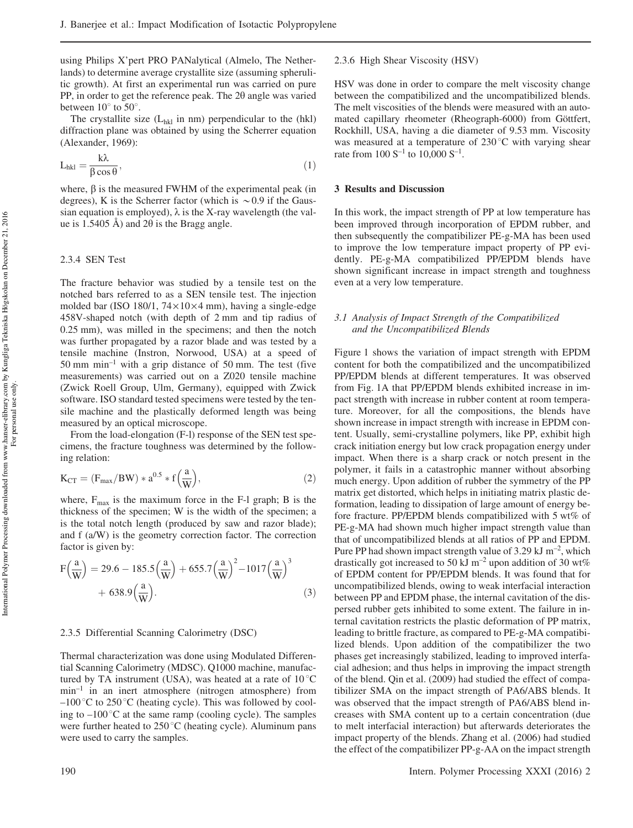using Philips X'pert PRO PANalytical (Almelo, The Netherlands) to determine average crystallite size (assuming spherulitic growth). At first an experimental run was carried on pure PP, in order to get the reference peak. The  $2\theta$  angle was varied between  $10^{\circ}$  to  $50^{\circ}$ .

The crystallite size  $(L<sub>hkl</sub>$  in nm) perpendicular to the (hkl) diffraction plane was obtained by using the Scherrer equation (Alexander, 1969):

$$
L_{hkl} = \frac{k\lambda}{\beta \cos \theta},\tag{1}
$$

where,  $\beta$  is the measured FWHM of the experimental peak (in degrees), K is the Scherrer factor (which is  $\sim 0.9$  if the Gaussian equation is employed),  $\lambda$  is the X-ray wavelength (the value is 1.5405 Å) and 2 $\theta$  is the Bragg angle.

# 2.3.4 SEN Test

The fracture behavior was studied by a tensile test on the notched bars referred to as a SEN tensile test. The injection molded bar (ISO 180/1,  $74 \times 10 \times 4$  mm), having a single-edge 458V-shaped notch (with depth of 2 mm and tip radius of 0.25 mm), was milled in the specimens; and then the notch was further propagated by a razor blade and was tested by a tensile machine (Instron, Norwood, USA) at a speed of  $50$  mm min<sup>-1</sup> with a grip distance of  $50$  mm. The test (five measurements) was carried out on a Z020 tensile machine (Zwick Roell Group, Ulm, Germany), equipped with Zwick software. ISO standard tested specimens were tested by the tensile machine and the plastically deformed length was being measured by an optical microscope.

From the load-elongation (F-l) response of the SEN test specimens, the fracture toughness was determined by the following relation:

$$
K_{CT} = (F_{max}/BW) * a^{0.5} * f\left(\frac{a}{W}\right),\tag{2}
$$

where,  $F_{\text{max}}$  is the maximum force in the F-l graph; B is the thickness of the specimen; W is the width of the specimen; a is the total notch length (produced by saw and razor blade); and f (a/W) is the geometry correction factor. The correction factor is given by:

$$
F\left(\frac{a}{W}\right) = 29.6 - 185.5\left(\frac{a}{W}\right) + 655.7\left(\frac{a}{W}\right)^2 - 1017\left(\frac{a}{W}\right)^3 + 638.9\left(\frac{a}{W}\right).
$$
\n(3)

#### 2.3.5 Differential Scanning Calorimetry (DSC)

Thermal characterization was done using Modulated Differential Scanning Calorimetry (MDSC). Q1000 machine, manufactured by TA instrument (USA), was heated at a rate of  $10^{\circ}$ C min–1 in an inert atmosphere (nitrogen atmosphere) from  $-100\degree$ C to 250 $\degree$ C (heating cycle). This was followed by cooling to  $-100\degree C$  at the same ramp (cooling cycle). The samples were further heated to  $250^{\circ}$ C (heating cycle). Aluminum pans were used to carry the samples.

#### 2.3.6 High Shear Viscosity (HSV)

HSV was done in order to compare the melt viscosity change between the compatibilized and the uncompatibilized blends. The melt viscosities of the blends were measured with an automated capillary rheometer (Rheograph-6000) from Göttfert, Rockhill, USA, having a die diameter of 9.53 mm. Viscosity was measured at a temperature of  $230^{\circ}$ C with varying shear rate from  $100 S^{-1}$  to  $10,000 S^{-1}$ .

#### 3 Results and Discussion

In this work, the impact strength of PP at low temperature has been improved through incorporation of EPDM rubber, and then subsequently the compatibilizer PE-g-MA has been used to improve the low temperature impact property of PP evidently. PE-g-MA compatibilized PP/EPDM blends have shown significant increase in impact strength and toughness even at a very low temperature.

# *3.1 Analysis of Impact Strength of the Compatibilized and the Uncompatibilized Blends*

Figure 1 shows the variation of impact strength with EPDM content for both the compatibilized and the uncompatibilized PP/EPDM blends at different temperatures. It was observed from Fig. 1A that PP/EPDM blends exhibited increase in impact strength with increase in rubber content at room temperature. Moreover, for all the compositions, the blends have shown increase in impact strength with increase in EPDM content. Usually, semi-crystalline polymers, like PP, exhibit high crack initiation energy but low crack propagation energy under impact. When there is a sharp crack or notch present in the polymer, it fails in a catastrophic manner without absorbing much energy. Upon addition of rubber the symmetry of the PP matrix get distorted, which helps in initiating matrix plastic deformation, leading to dissipation of large amount of energy before fracture. PP/EPDM blends compatibilized with 5 wt% of PE-g-MA had shown much higher impact strength value than that of uncompatibilized blends at all ratios of PP and EPDM. Pure PP had shown impact strength value of 3.29 kJ  $\mathrm{m}^{-2}$ , which drastically got increased to 50 kJ m<sup>-2</sup> upon addition of 30 wt% of EPDM content for PP/EPDM blends. It was found that for uncompatibilized blends, owing to weak interfacial interaction between PP and EPDM phase, the internal cavitation of the dispersed rubber gets inhibited to some extent. The failure in internal cavitation restricts the plastic deformation of PP matrix, leading to brittle fracture, as compared to PE-g-MA compatibilized blends. Upon addition of the compatibilizer the two phases get increasingly stabilized, leading to improved interfacial adhesion; and thus helps in improving the impact strength of the blend. Qin et al. (2009) had studied the effect of compatibilizer SMA on the impact strength of PA6/ABS blends. It was observed that the impact strength of PA6/ABS blend increases with SMA content up to a certain concentration (due to melt interfacial interaction) but afterwards deteriorates the impact property of the blends. Zhang et al. (2006) had studied the effect of the compatibilizer PP-g-AA on the impact strength

For personal use only.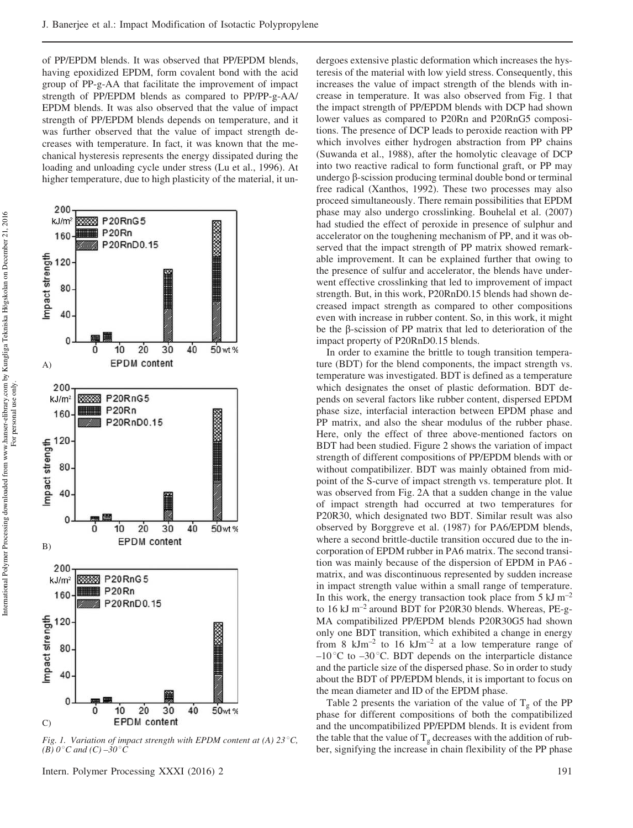of PP/EPDM blends. It was observed that PP/EPDM blends, having epoxidized EPDM, form covalent bond with the acid group of PP-g-AA that facilitate the improvement of impact strength of PP/EPDM blends as compared to PP/PP-g-AA/ EPDM blends. It was also observed that the value of impact strength of PP/EPDM blends depends on temperature, and it was further observed that the value of impact strength decreases with temperature. In fact, it was known that the mechanical hysteresis represents the energy dissipated during the loading and unloading cycle under stress (Lu et al., 1996). At higher temperature, due to high plasticity of the material, it un-



*Fig. 1. Variation of impact strength with EPDM content at (A) 23<sup>°</sup>C, (B)*  $0^{\circ}$ *C* and *(C)*  $-30^{\circ}$ *C* 

dergoes extensive plastic deformation which increases the hysteresis of the material with low yield stress. Consequently, this increases the value of impact strength of the blends with increase in temperature. It was also observed from Fig. 1 that the impact strength of PP/EPDM blends with DCP had shown lower values as compared to P20Rn and P20RnG5 compositions. The presence of DCP leads to peroxide reaction with PP which involves either hydrogen abstraction from PP chains (Suwanda et al., 1988), after the homolytic cleavage of DCP into two reactive radical to form functional graft, or PP may undergo  $\beta$ -scission producing terminal double bond or terminal free radical (Xanthos, 1992). These two processes may also proceed simultaneously. There remain possibilities that EPDM phase may also undergo crosslinking. Bouhelal et al. (2007) had studied the effect of peroxide in presence of sulphur and accelerator on the toughening mechanism of PP, and it was observed that the impact strength of PP matrix showed remarkable improvement. It can be explained further that owing to the presence of sulfur and accelerator, the blends have underwent effective crosslinking that led to improvement of impact strength. But, in this work, P20RnD0.15 blends had shown decreased impact strength as compared to other compositions even with increase in rubber content. So, in this work, it might be the  $\beta$ -scission of PP matrix that led to deterioration of the impact property of P20RnD0.15 blends.

In order to examine the brittle to tough transition temperature (BDT) for the blend components, the impact strength vs. temperature was investigated. BDT is defined as a temperature which designates the onset of plastic deformation. BDT depends on several factors like rubber content, dispersed EPDM phase size, interfacial interaction between EPDM phase and PP matrix, and also the shear modulus of the rubber phase. Here, only the effect of three above-mentioned factors on BDT had been studied. Figure 2 shows the variation of impact strength of different compositions of PP/EPDM blends with or without compatibilizer. BDT was mainly obtained from midpoint of the S-curve of impact strength vs. temperature plot. It was observed from Fig. 2A that a sudden change in the value of impact strength had occurred at two temperatures for P20R30, which designated two BDT. Similar result was also observed by Borggreve et al. (1987) for PA6/EPDM blends, where a second brittle-ductile transition occured due to the incorporation of EPDM rubber in PA6 matrix. The second transition was mainly because of the dispersion of EPDM in PA6 matrix, and was discontinuous represented by sudden increase in impact strength value within a small range of temperature. In this work, the energy transaction took place from  $5 \text{ kJ m}^{-2}$ to 16 kJ m–2 around BDT for P20R30 blends. Whereas, PE-g-MA compatibilized PP/EPDM blends P20R30G5 had shown only one BDT transition, which exhibited a change in energy from 8  $\text{kJm}^{-2}$  to 16  $\text{kJm}^{-2}$  at a low temperature range of  $-10\degree$ C to  $-30\degree$ C. BDT depends on the interparticle distance and the particle size of the dispersed phase. So in order to study about the BDT of PP/EPDM blends, it is important to focus on the mean diameter and ID of the EPDM phase.

Table 2 presents the variation of the value of  $T<sub>g</sub>$  of the PP phase for different compositions of both the compatibilized and the uncompatibilized PP/EPDM blends. It is evident from the table that the value of  $T_g$  decreases with the addition of rubber, signifying the increase in chain flexibility of the PP phase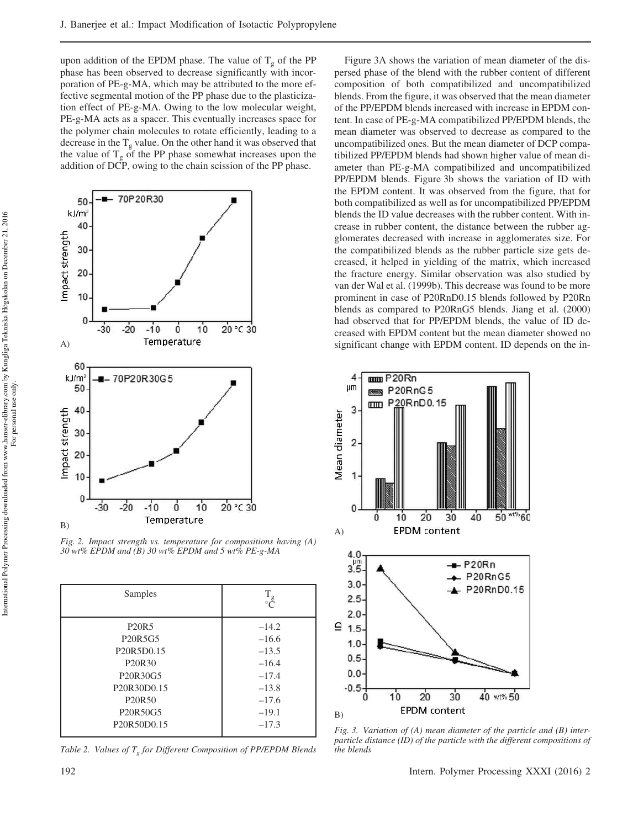upon addition of the EPDM phase. The value of  $T_g$  of the PP phase has been observed to decrease significantly with incorporation of PE-g-MA, which may be attributed to the more effective segmental motion of the PP phase due to the plasticization effect of PE-g-MA. Owing to the low molecular weight, PE-g-MA acts as a spacer. This eventually increases space for the polymer chain molecules to rotate efficiently, leading to a decrease in the  $T_g$  value. On the other hand it was observed that the value of  $T_g$  of the PP phase somewhat increases upon the addition of DCP, owing to the chain scission of the PP phase.



*Fig. 2. Impact strength vs. temperature for compositions having (A) 30 wt% EPDM and (B) 30 wt% EPDM and 5 wt% PE-g-MA*

| Samples                                            | $T_g$ ု |
|----------------------------------------------------|---------|
| P <sub>20</sub> R <sub>5</sub>                     | $-14.2$ |
| P <sub>20</sub> R <sub>5</sub> G <sub>5</sub>      | $-16.6$ |
| P <sub>20</sub> R <sub>5</sub> D <sub>0.15</sub>   | $-13.5$ |
| P <sub>20R30</sub>                                 | $-16.4$ |
| P <sub>20</sub> R <sub>30</sub> G <sub>5</sub>     | $-17.4$ |
| P <sub>20</sub> R <sub>30</sub> D <sub>0</sub> .15 | $-13.8$ |
| P <sub>20</sub> R <sub>50</sub>                    | $-17.6$ |
| P <sub>20</sub> R <sub>50G5</sub>                  | $-19.1$ |
| P <sub>20</sub> R <sub>50</sub> D <sub>0</sub> .15 | $-17.3$ |

*Table 2. Values of T<sup>g</sup> for Different Composition of PP/EPDM Blends*

Figure 3A shows the variation of mean diameter of the dispersed phase of the blend with the rubber content of different composition of both compatibilized and uncompatibilized blends. From the figure, it was observed that the mean diameter of the PP/EPDM blends increased with increase in EPDM content. In case of PE-g-MA compatibilized PP/EPDM blends, the mean diameter was observed to decrease as compared to the uncompatibilized ones. But the mean diameter of DCP compatibilized PP/EPDM blends had shown higher value of mean diameter than PE-g-MA compatibilized and uncompatibilized PP/EPDM blends. Figure 3b shows the variation of ID with the EPDM content. It was observed from the figure, that for both compatibilized as well as for uncompatibilized PP/EPDM blends the ID value decreases with the rubber content. With increase in rubber content, the distance between the rubber agglomerates decreased with increase in agglomerates size. For the compatibilized blends as the rubber particle size gets decreased, it helped in yielding of the matrix, which increased the fracture energy. Similar observation was also studied by van der Wal et al. (1999b). This decrease was found to be more prominent in case of P20RnD0.15 blends followed by P20Rn blends as compared to P20RnG5 blends. Jiang et al. (2000) had observed that for PP/EPDM blends, the value of ID decreased with EPDM content but the mean diameter showed no significant change with EPDM content. ID depends on the in-



*Fig. 3. Variation of (A) mean diameter of the particle and (B) interparticle distance (ID) of the particle with the different compositions of the blends*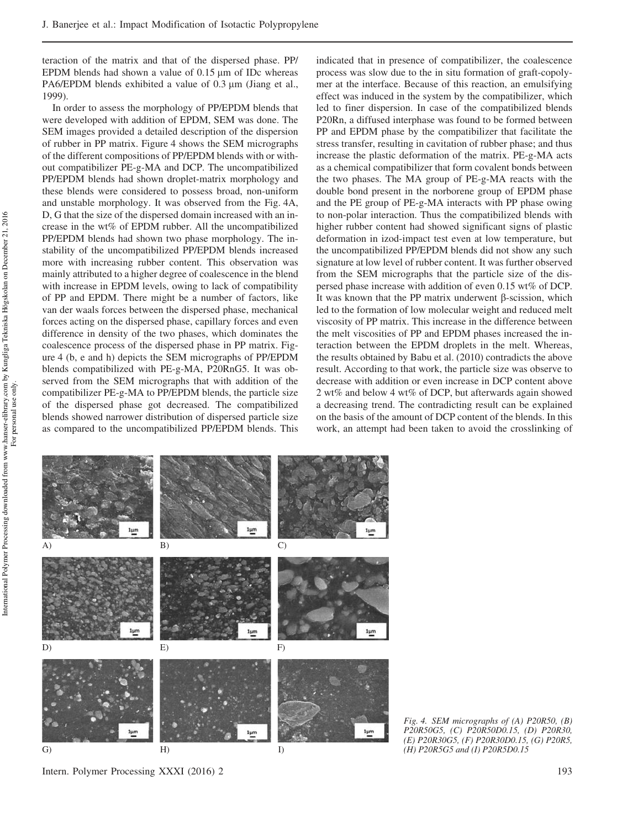teraction of the matrix and that of the dispersed phase. PP/ EPDM blends had shown a value of  $0.15 \mu m$  of IDc whereas PA6/EPDM blends exhibited a value of 0.3 µm (Jiang et al., 1999).

In order to assess the morphology of PP/EPDM blends that were developed with addition of EPDM, SEM was done. The SEM images provided a detailed description of the dispersion of rubber in PP matrix. Figure 4 shows the SEM micrographs of the different compositions of PP/EPDM blends with or without compatibilizer PE-g-MA and DCP. The uncompatibilized PP/EPDM blends had shown droplet-matrix morphology and these blends were considered to possess broad, non-uniform and unstable morphology. It was observed from the Fig. 4A, D, G that the size of the dispersed domain increased with an increase in the wt% of EPDM rubber. All the uncompatibilized PP/EPDM blends had shown two phase morphology. The instability of the uncompatibilized PP/EPDM blends increased more with increasing rubber content. This observation was mainly attributed to a higher degree of coalescence in the blend with increase in EPDM levels, owing to lack of compatibility of PP and EPDM. There might be a number of factors, like van der waals forces between the dispersed phase, mechanical forces acting on the dispersed phase, capillary forces and even difference in density of the two phases, which dominates the coalescence process of the dispersed phase in PP matrix. Figure 4 (b, e and h) depicts the SEM micrographs of PP/EPDM blends compatibilized with PE-g-MA, P20RnG5. It was observed from the SEM micrographs that with addition of the compatibilizer PE-g-MA to PP/EPDM blends, the particle size of the dispersed phase got decreased. The compatibilized blends showed narrower distribution of dispersed particle size as compared to the uncompatibilized PP/EPDM blends. This

indicated that in presence of compatibilizer, the coalescence process was slow due to the in situ formation of graft-copolymer at the interface. Because of this reaction, an emulsifying effect was induced in the system by the compatibilizer, which led to finer dispersion. In case of the compatibilized blends P20Rn, a diffused interphase was found to be formed between PP and EPDM phase by the compatibilizer that facilitate the stress transfer, resulting in cavitation of rubber phase; and thus increase the plastic deformation of the matrix. PE-g-MA acts as a chemical compatibilizer that form covalent bonds between the two phases. The MA group of PE-g-MA reacts with the double bond present in the norborene group of EPDM phase and the PE group of PE-g-MA interacts with PP phase owing to non-polar interaction. Thus the compatibilized blends with higher rubber content had showed significant signs of plastic deformation in izod-impact test even at low temperature, but the uncompatibilized PP/EPDM blends did not show any such signature at low level of rubber content. It was further observed from the SEM micrographs that the particle size of the dispersed phase increase with addition of even 0.15 wt% of DCP. It was known that the PP matrix underwent  $\beta$ -scission, which led to the formation of low molecular weight and reduced melt viscosity of PP matrix. This increase in the difference between the melt viscosities of PP and EPDM phases increased the interaction between the EPDM droplets in the melt. Whereas, the results obtained by Babu et al. (2010) contradicts the above result. According to that work, the particle size was observe to decrease with addition or even increase in DCP content above 2 wt% and below 4 wt% of DCP, but afterwards again showed a decreasing trend. The contradicting result can be explained on the basis of the amount of DCP content of the blends. In this work, an attempt had been taken to avoid the crosslinking of



*Fig. 4. SEM micrographs of (A) P20R50, (B) P20R50G5, (C) P20R50D0.15, (D) P20R30, (E) P20R30G5, (F) P20R30D0.15, (G) P20R5, (H) P20R5G5 and (I) P20R5D0.15*

Intern. Polymer Processing XXXI (2016) 2 193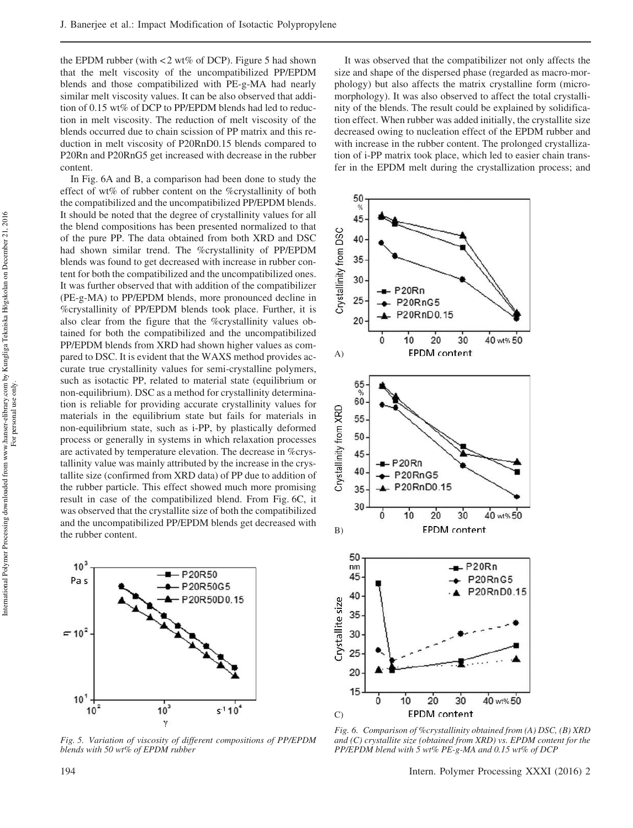the EPDM rubber (with  $\lt 2$  wt% of DCP). Figure 5 had shown that the melt viscosity of the uncompatibilized PP/EPDM blends and those compatibilized with PE-g-MA had nearly similar melt viscosity values. It can be also observed that addition of 0.15 wt% of DCP to PP/EPDM blends had led to reduction in melt viscosity. The reduction of melt viscosity of the blends occurred due to chain scission of PP matrix and this reduction in melt viscosity of P20RnD0.15 blends compared to P20Rn and P20RnG5 get increased with decrease in the rubber content.

In Fig. 6A and B, a comparison had been done to study the effect of wt% of rubber content on the %crystallinity of both the compatibilized and the uncompatibilized PP/EPDM blends. It should be noted that the degree of crystallinity values for all the blend compositions has been presented normalized to that of the pure PP. The data obtained from both XRD and DSC had shown similar trend. The %crystallinity of PP/EPDM blends was found to get decreased with increase in rubber content for both the compatibilized and the uncompatibilized ones. It was further observed that with addition of the compatibilizer (PE-g-MA) to PP/EPDM blends, more pronounced decline in %crystallinity of PP/EPDM blends took place. Further, it is also clear from the figure that the %crystallinity values obtained for both the compatibilized and the uncompatibilized PP/EPDM blends from XRD had shown higher values as compared to DSC. It is evident that the WAXS method provides accurate true crystallinity values for semi-crystalline polymers, such as isotactic PP, related to material state (equilibrium or non-equilibrium). DSC as a method for crystallinity determination is reliable for providing accurate crystallinity values for materials in the equilibrium state but fails for materials in non-equilibrium state, such as i-PP, by plastically deformed process or generally in systems in which relaxation processes are activated by temperature elevation. The decrease in %crystallinity value was mainly attributed by the increase in the crystallite size (confirmed from XRD data) of PP due to addition of the rubber particle. This effect showed much more promising result in case of the compatibilized blend. From Fig. 6C, it was observed that the crystallite size of both the compatibilized and the uncompatibilized PP/EPDM blends get decreased with the rubber content.



*Fig. 5. Variation of viscosity of different compositions of PP/EPDM blends with 50 wt% of EPDM rubber*

It was observed that the compatibilizer not only affects the size and shape of the dispersed phase (regarded as macro-morphology) but also affects the matrix crystalline form (micromorphology). It was also observed to affect the total crystallinity of the blends. The result could be explained by solidification effect. When rubber was added initially, the crystallite size decreased owing to nucleation effect of the EPDM rubber and with increase in the rubber content. The prolonged crystallization of i-PP matrix took place, which led to easier chain transfer in the EPDM melt during the crystallization process; and



*Fig. 6. Comparison of %crystallinity obtained from (A) DSC, (B) XRD and (C) crystallite size (obtained from XRD) vs. EPDM content for the PP/EPDM blend with 5 wt% PE-g-MA and 0.15 wt% of DCP*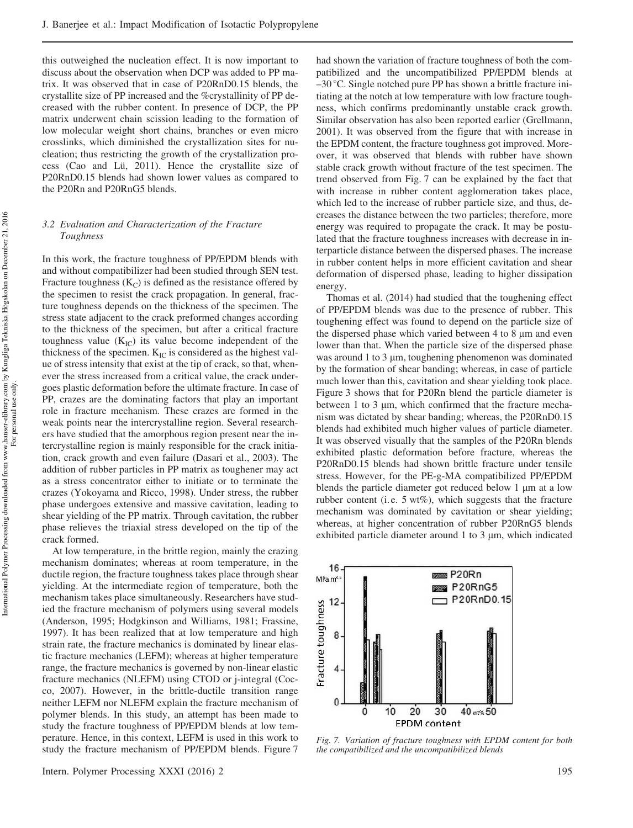this outweighed the nucleation effect. It is now important to discuss about the observation when DCP was added to PP matrix. It was observed that in case of P20RnD0.15 blends, the crystallite size of PP increased and the %crystallinity of PP decreased with the rubber content. In presence of DCP, the PP matrix underwent chain scission leading to the formation of low molecular weight short chains, branches or even micro crosslinks, which diminished the crystallization sites for nucleation; thus restricting the growth of the crystallization process (Cao and Lü, 2011). Hence the crystallite size of P20RnD0.15 blends had shown lower values as compared to the P20Rn and P20RnG5 blends.

# *3.2 Evaluation and Characterization of the Fracture Toughness*

In this work, the fracture toughness of PP/EPDM blends with and without compatibilizer had been studied through SEN test. Fracture toughness  $(K_C)$  is defined as the resistance offered by the specimen to resist the crack propagation. In general, fracture toughness depends on the thickness of the specimen. The stress state adjacent to the crack preformed changes according to the thickness of the specimen, but after a critical fracture toughness value  $(K_{IC})$  its value become independent of the thickness of the specimen.  $K_{IC}$  is considered as the highest value of stress intensity that exist at the tip of crack, so that, whenever the stress increased from a critical value, the crack undergoes plastic deformation before the ultimate fracture. In case of PP, crazes are the dominating factors that play an important role in fracture mechanism. These crazes are formed in the weak points near the intercrystalline region. Several researchers have studied that the amorphous region present near the intercrystalline region is mainly responsible for the crack initiation, crack growth and even failure (Dasari et al., 2003). The addition of rubber particles in PP matrix as toughener may act as a stress concentrator either to initiate or to terminate the crazes (Yokoyama and Ricco, 1998). Under stress, the rubber phase undergoes extensive and massive cavitation, leading to shear yielding of the PP matrix. Through cavitation, the rubber phase relieves the triaxial stress developed on the tip of the crack formed.

At low temperature, in the brittle region, mainly the crazing mechanism dominates; whereas at room temperature, in the ductile region, the fracture toughness takes place through shear yielding. At the intermediate region of temperature, both the mechanism takes place simultaneously. Researchers have studied the fracture mechanism of polymers using several models (Anderson, 1995; Hodgkinson and Williams, 1981; Frassine, 1997). It has been realized that at low temperature and high strain rate, the fracture mechanics is dominated by linear elastic fracture mechanics (LEFM); whereas at higher temperature range, the fracture mechanics is governed by non-linear elastic fracture mechanics (NLEFM) using CTOD or j-integral (Cocco, 2007). However, in the brittle-ductile transition range neither LEFM nor NLEFM explain the fracture mechanism of polymer blends. In this study, an attempt has been made to study the fracture toughness of PP/EPDM blends at low temperature. Hence, in this context, LEFM is used in this work to study the fracture mechanism of PP/EPDM blends. Figure 7

had shown the variation of fracture toughness of both the compatibilized and the uncompatibilized PP/EPDM blends at  $-30$  °C. Single notched pure PP has shown a brittle fracture initiating at the notch at low temperature with low fracture toughness, which confirms predominantly unstable crack growth. Similar observation has also been reported earlier (Grellmann, 2001). It was observed from the figure that with increase in the EPDM content, the fracture toughness got improved. Moreover, it was observed that blends with rubber have shown stable crack growth without fracture of the test specimen. The trend observed from Fig. 7 can be explained by the fact that with increase in rubber content agglomeration takes place, which led to the increase of rubber particle size, and thus, decreases the distance between the two particles; therefore, more energy was required to propagate the crack. It may be postulated that the fracture toughness increases with decrease in interparticle distance between the dispersed phases. The increase in rubber content helps in more efficient cavitation and shear deformation of dispersed phase, leading to higher dissipation energy.

Thomas et al. (2014) had studied that the toughening effect of PP/EPDM blends was due to the presence of rubber. This toughening effect was found to depend on the particle size of the dispersed phase which varied between  $4$  to  $8 \mu$ m and even lower than that. When the particle size of the dispersed phase was around 1 to 3  $\mu$ m, toughening phenomenon was dominated by the formation of shear banding; whereas, in case of particle much lower than this, cavitation and shear yielding took place. Figure 3 shows that for P20Rn blend the particle diameter is between 1 to 3  $\mu$ m, which confirmed that the fracture mechanism was dictated by shear banding; whereas, the P20RnD0.15 blends had exhibited much higher values of particle diameter. It was observed visually that the samples of the P20Rn blends exhibited plastic deformation before fracture, whereas the P20RnD0.15 blends had shown brittle fracture under tensile stress. However, for the PE-g-MA compatibilized PP/EPDM blends the particle diameter got reduced below  $1 \mu m$  at a low rubber content (i. e. 5 wt%), which suggests that the fracture mechanism was dominated by cavitation or shear yielding; whereas, at higher concentration of rubber P20RnG5 blends exhibited particle diameter around  $1$  to  $3 \mu$ m, which indicated



*Fig. 7. Variation of fracture toughness with EPDM content for both the compatibilized and the uncompatibilized blends*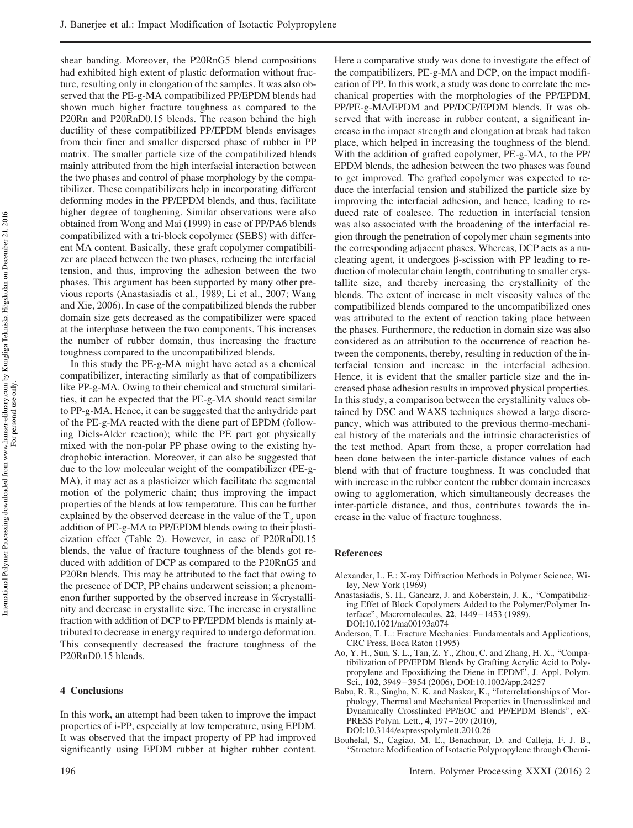shear banding. Moreover, the P20RnG5 blend compositions had exhibited high extent of plastic deformation without fracture, resulting only in elongation of the samples. It was also observed that the PE-g-MA compatibilized PP/EPDM blends had shown much higher fracture toughness as compared to the P20Rn and P20RnD0.15 blends. The reason behind the high ductility of these compatibilized PP/EPDM blends envisages from their finer and smaller dispersed phase of rubber in PP matrix. The smaller particle size of the compatibilized blends mainly attributed from the high interfacial interaction between the two phases and control of phase morphology by the compatibilizer. These compatibilizers help in incorporating different deforming modes in the PP/EPDM blends, and thus, facilitate higher degree of toughening. Similar observations were also obtained from Wong and Mai (1999) in case of PP/PA6 blends compatibilized with a tri-block copolymer (SEBS) with different MA content. Basically, these graft copolymer compatibilizer are placed between the two phases, reducing the interfacial tension, and thus, improving the adhesion between the two phases. This argument has been supported by many other previous reports (Anastasiadis et al., 1989; Li et al., 2007; Wang and Xie, 2006). In case of the compatibilized blends the rubber domain size gets decreased as the compatibilizer were spaced at the interphase between the two components. This increases the number of rubber domain, thus increasing the fracture toughness compared to the uncompatibilized blends.

In this study the PE-g-MA might have acted as a chemical compatibilizer, interacting similarly as that of compatibilizers like PP-g-MA. Owing to their chemical and structural similarities, it can be expected that the PE-g-MA should react similar to PP-g-MA. Hence, it can be suggested that the anhydride part of the PE-g-MA reacted with the diene part of EPDM (following Diels-Alder reaction); while the PE part got physically mixed with the non-polar PP phase owing to the existing hydrophobic interaction. Moreover, it can also be suggested that due to the low molecular weight of the compatibilizer (PE-g-MA), it may act as a plasticizer which facilitate the segmental motion of the polymeric chain; thus improving the impact properties of the blends at low temperature. This can be further explained by the observed decrease in the value of the  $T_{\sigma}$  upon addition of PE-g-MA to PP/EPDM blends owing to their plasticization effect (Table 2). However, in case of P20RnD0.15 blends, the value of fracture toughness of the blends got reduced with addition of DCP as compared to the P20RnG5 and P20Rn blends. This may be attributed to the fact that owing to the presence of DCP, PP chains underwent scission; a phenomenon further supported by the observed increase in %crystallinity and decrease in crystallite size. The increase in crystalline fraction with addition of DCP to PP/EPDM blends is mainly attributed to decrease in energy required to undergo deformation. This consequently decreased the fracture toughness of the P20RnD0.15 blends.

## 4 Conclusions

In this work, an attempt had been taken to improve the impact properties of i-PP, especially at low temperature, using EPDM. It was observed that the impact property of PP had improved significantly using EPDM rubber at higher rubber content. Here a comparative study was done to investigate the effect of the compatibilizers, PE-g-MA and DCP, on the impact modification of PP. In this work, a study was done to correlate the mechanical properties with the morphologies of the PP/EPDM, PP/PE-g-MA/EPDM and PP/DCP/EPDM blends. It was observed that with increase in rubber content, a significant increase in the impact strength and elongation at break had taken place, which helped in increasing the toughness of the blend. With the addition of grafted copolymer, PE-g-MA, to the PP/ EPDM blends, the adhesion between the two phases was found to get improved. The grafted copolymer was expected to reduce the interfacial tension and stabilized the particle size by improving the interfacial adhesion, and hence, leading to reduced rate of coalesce. The reduction in interfacial tension was also associated with the broadening of the interfacial region through the penetration of copolymer chain segments into the corresponding adjacent phases. Whereas, DCP acts as a nucleating agent, it undergoes  $\beta$ -scission with PP leading to reduction of molecular chain length, contributing to smaller crystallite size, and thereby increasing the crystallinity of the blends. The extent of increase in melt viscosity values of the compatibilized blends compared to the uncompatibilized ones was attributed to the extent of reaction taking place between the phases. Furthermore, the reduction in domain size was also considered as an attribution to the occurrence of reaction between the components, thereby, resulting in reduction of the interfacial tension and increase in the interfacial adhesion. Hence, it is evident that the smaller particle size and the increased phase adhesion results in improved physical properties. In this study, a comparison between the crystallinity values obtained by DSC and WAXS techniques showed a large discrepancy, which was attributed to the previous thermo-mechanical history of the materials and the intrinsic characteristics of the test method. Apart from these, a proper correlation had been done between the inter-particle distance values of each blend with that of fracture toughness. It was concluded that with increase in the rubber content the rubber domain increases owing to agglomeration, which simultaneously decreases the inter-particle distance, and thus, contributes towards the increase in the value of fracture toughness.

#### References

- Alexander, L. E.: X-ray Diffraction Methods in Polymer Science, Wiley, New York (1969)
- Anastasiadis, S. H., Gancarz, J. and Koberstein, J. K., "Compatibilizing Effet of Block Copolymers Added to the Polymer/Polymer Interface", Macromolecules, 22, 1449 – 1453 (1989), DOI:10.1021/ma00193a074
- Anderson, T. L.: Fracture Mechanics: Fundamentals and Applications, CRC Press, Boca Raton (1995)
- Ao, Y. H., Sun, S. L., Tan, Z. Y., Zhou, C. and Zhang, H. X., "Compatibilization of PP/EPDM Blends by Grafting Acrylic Acid to Poly-propylene and Epoxidizing the Diene in EPDM", J. Appl. Polym. Sci., **102**, 3949–3954 (2006), DOI:10.1002/app.24257
- Babu, R. R., Singha, N. K. and Naskar, K., "Interrelationships of Morphology, Thermal and Mechanical Properties in Uncrosslinked and Dynamically Crosslinked PP/EOC and PP/EPDM Blends", eX-PRESS Polym. Lett., 4, 197 – 209 (2010), DOI:10.3144/expresspolymlett.2010.26
- Bouhelal, S., Cagiao, M. E., Benachour, D. and Calleja, F. J. B., "Structure Modification of Isotactic Polypropylene through Chemi-